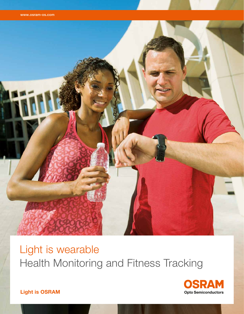

# Light is wearable Health Monitoring and Fitness Tracking



Light is OSRAM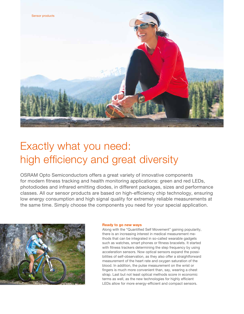

# Exactly what you need: high efficiency and great diversity

OSRAM Opto Semiconductors offers a great variety of innovative components for modern fitness tracking and health monitoring applications: green and red LEDs, photodiodes and infrared emitting diodes, in different packages, sizes and performance classes. All our sensor products are based on high-efficiency chip technology, ensuring low energy consumption and high signal quality for extremely reliable measurements at the same time. Simply choose the components you need for your special application.



### Ready to go new ways

Along with the "Quantified Self Movement" gaining popularity, there is an increasing interest in medical measurement methods that can be integrated in so-called wearable gadgets such as watches, smart phones or fitness bracelets. It started with fitness trackers determining the step frequency by using acceleration sensors. Now optical sensors expand the possibilities of self-observation, as they also offer a straightforward measurement of the heart rate and oxygen saturation of the blood. In addition, the pulse measurement on the wrist or fingers is much more convenient than, say, wearing a chest strap. Last but not least optical methods score in economic terms as well, as the new technologies for highly efficient LEDs allow for more energy-efficient and compact sensors.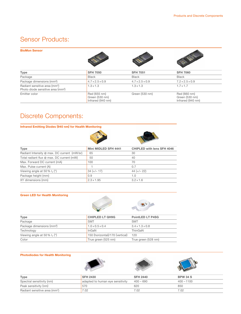# Sensor Products:

#### BioMon Sensor







| Type                                                                                       | <b>SFH 7050</b>                                     | <b>SFH 7051</b>             | <b>SFH 7060</b>                                     |
|--------------------------------------------------------------------------------------------|-----------------------------------------------------|-----------------------------|-----------------------------------------------------|
| Package                                                                                    | <b>Black</b>                                        | <b>Black</b>                | <b>Black</b>                                        |
| Package dimensions (mm <sup>3</sup> )                                                      | $4.7 \times 2.5 \times 0.9$                         | $4.7 \times 2.5 \times 0.9$ | $7.2 \times 2.5 \times 0.9$                         |
| Radiant sensitive area (mm <sup>2</sup> )<br>Photo diode sensitive area (mm <sup>2</sup> ) | $1.3 \times 1.3$                                    | $1.3 \times 1.3$            | $1.7 \times 1.7$                                    |
| Emitter color                                                                              | Red (655 nm)<br>Green (530 nm)<br>Infrared (940 nm) | Green (530 nm)              | Red (660 nm)<br>Green (530 nm)<br>Infrared (940 nm) |

# Discrete Components:

Infrared Emitting Diodes (940 nm) for Health Monitoring





| <b>Type</b>                                 | Mini MIDLED SFH 4441 | <b>CHIPLED with lens SFH 4046</b> |
|---------------------------------------------|----------------------|-----------------------------------|
| Radiant Intensity @ max. DC current (mW/sr) | 65                   | 30                                |
| Total radiant flux @ max. DC current (mW)   | 50                   | 40                                |
| Max. Forward DC current (mA)                | 100                  | 70                                |
| Max. Pulse current (A)                      |                      | 0.7                               |
| Viewing angle at 50 % $I_e$ ( $\degree$ )   | $34 (+/- 17)$        | $44 (+/- 22)$                     |
| Package height (mm)                         | 0.9                  | 1.0                               |
| XY dimensions (mm)                          | $2.3 \times 1.95$    | $3.2 \times 1.6$                  |

## Green LED for Health Monitoring



| <b>Type</b>                           | <b>CHIPLED LT QH9G</b>          | <b>PointLED LT P4SG</b>     |  |
|---------------------------------------|---------------------------------|-----------------------------|--|
| Package                               | <b>SMT</b>                      | <b>SMT</b>                  |  |
| Package dimensions (mm <sup>3</sup> ) | $1.0 \times 0.5 \times 0.4$     | $3.4 \times 1.3 \times 0.8$ |  |
| Technology                            | InGaN                           | ThinGaN                     |  |
| Viewing angle at 50 % $I_v$ (°)       | 150 (horizontal)/170 (vertical) | 120                         |  |
| Color                                 | True green (525 nm)             | True green (528 nm)         |  |

### Photodiodes for Health Monitoring







| Type                                      | <b>SFH 2430</b>                  | <b>SFH 2440</b> | <b>BPW 34 S</b> |
|-------------------------------------------|----------------------------------|-----------------|-----------------|
| Spectral sensitivity (nm)                 | adapted to human eye sensitivity | $400 - 690$     | $400 - 1100$    |
| Peak sensitivity (nm)                     | 570                              | 620             | 850             |
| Radiant sensitive area (mm <sup>2</sup> ) | 7.02                             | 7.02            | 7.02            |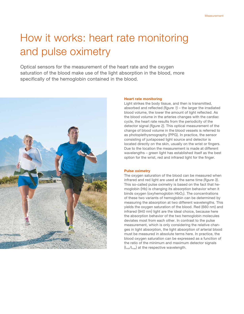# How it works: heart rate monitoring and pulse oximetry

Optical sensors for the measurement of the heart rate and the oxygen saturation of the blood make use of the light absorption in the blood, more specifically of the hemoglobin contained in the blood.



#### Heart rate monitoring

Light strikes the body tissue, and then is transmitted, absorbed and reflected *(figure 1)* – the larger the irradiated blood volume, the lower the amount of light reflected. As the blood volume in the arteries changes with the cardiac cycle, the heart rate results from the periodicity of the detector signal *(figure 2)*. This optical measurement of the change of blood volume in the blood vessels is referred to as photoplethysmography (PPG). In practice, the sensor consisting of juxtaposed light source and detector is located directly on the skin, usually on the wrist or fingers. Due to the location the measurement is made at different wavelengths – green light has established itself as the best option for the wrist, red and infrared light for the finger.

### Pulse oximetry

The oxygen saturation of the blood can be measured when infrared and red light are used at the same time *(figure 3)*. This so-called pulse oximetry is based on the fact that hemoglobin (Hb) is changing its absorption behavior when it binds oxygen (oxyhemoglobin  $HbO<sub>2</sub>$ ). The concentrations of these two variants of hemoglobin can be determined by measuring the absorption at two different wavelengths. This yields the oxygen saturation of the blood. Red (660 nm) and infrared (940 nm) light are the ideal choice, because here the absorption behavior of the two hemoglobin molecules deviates most from each other. In contrast to the pulse measurement, which is only considering the relative changes in light absorption, the light absorption of arterial blood must be measured in absolute terms here. In practice, the blood oxygen saturation can be expressed as a function of the ratio of the minimum and maximum detector signals  $(I_{min}/I_{max})$  at the respective wavelength.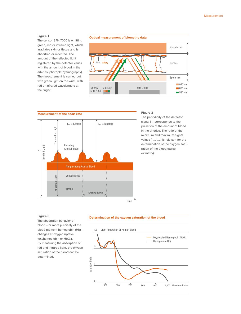#### Figure 1

The sensor SFH 7050 is emitting green, red or infrared light, which irradiates skin or tissue and is absorbed or reflected. The amount of the reflected light registered by the detector varies with the amount of blood in the arteries (photoplethysmography). The measurement is carried out with green light on the wrist, with red or infrared wavelengths at the finger.





Measurement of the heart rate



#### Figure 2

The periodicity of the detector signal I + corresponds to the pulsation of the amount of blood in the arteries. The ratio of the minimum and maximum signal values  $(I_{min}/I_{max})$  is relevant for the determination of the oxygen saturation of the blood (pulse oximetry).

### Figure 3

The absorption behavior of blood – or more precisely of the blood pigment hemoglobin (Hb) – changes at oxygen uptake (oxyhemoglobin or  $HbO<sub>2</sub>$ ). By measuring the absorption of red and infrared light, the oxygen saturation of the blood can be determined.